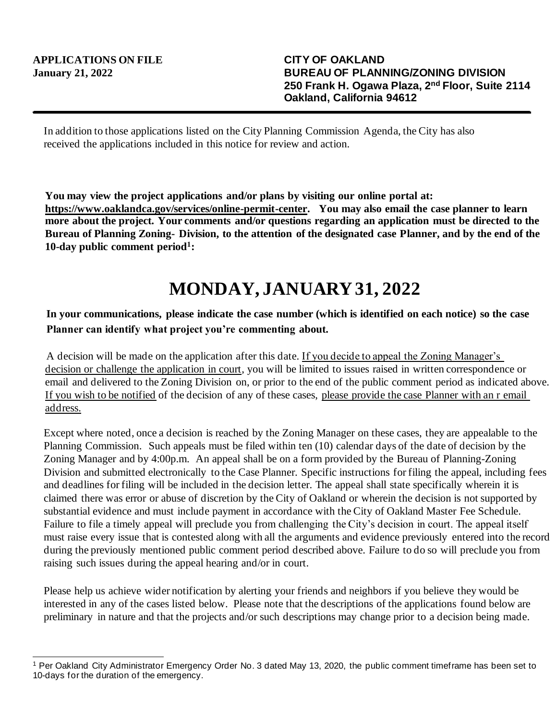In addition to those applications listed on the City Planning Commission Agenda, the City has also received the applications included in this notice for review and action.

**You may view the project applications and/or plans by visiting our online portal at: https://www.oaklandca.gov/services/online-permit-center. You may also email the case planner to learn more about the project. Your comments and/or questions regarding an application must be directed to the Bureau of Planning Zoning- Division, to the attention of the designated case Planner, and by the end of the 10-day public comment period<sup>1</sup> :**

## **MONDAY, JANUARY31, 2022**

## **In your communications, please indicate the case number (which is identified on each notice) so the case Planner can identify what project you're commenting about.**

A decision will be made on the application after this date. If you decide to appeal the Zoning Manager's decision or challenge the application in court, you will be limited to issues raised in written correspondence or email and delivered to the Zoning Division on, or prior to the end of the public comment period as indicated above. If you wish to be notified of the decision of any of these cases, please provide the case Planner with an r email address.

Except where noted, once a decision is reached by the Zoning Manager on these cases, they are appealable to the Planning Commission. Such appeals must be filed within ten (10) calendar days of the date of decision by the Zoning Manager and by 4:00p.m. An appeal shall be on a form provided by the Bureau of Planning-Zoning Division and submitted electronically to the Case Planner. Specific instructions for filing the appeal, including fees and deadlines for filing will be included in the decision letter. The appeal shall state specifically wherein it is claimed there was error or abuse of discretion by the City of Oakland or wherein the decision is not supported by substantial evidence and must include payment in accordance with the City of Oakland Master Fee Schedule. Failure to file a timely appeal will preclude you from challenging the City's decision in court. The appeal itself must raise every issue that is contested along with all the arguments and evidence previously entered into the record during the previously mentioned public comment period described above. Failure to do so will preclude you from raising such issues during the appeal hearing and/or in court.

Please help us achieve wider notification by alerting your friends and neighbors if you believe they would be interested in any of the cases listed below. Please note that the descriptions of the applications found below are preliminary in nature and that the projects and/or such descriptions may change prior to a decision being made.

<sup>1</sup> Per Oakland City Administrator Emergency Order No. 3 dated May 13, 2020, the public comment timeframe has been set to 10-days for the duration of the emergency.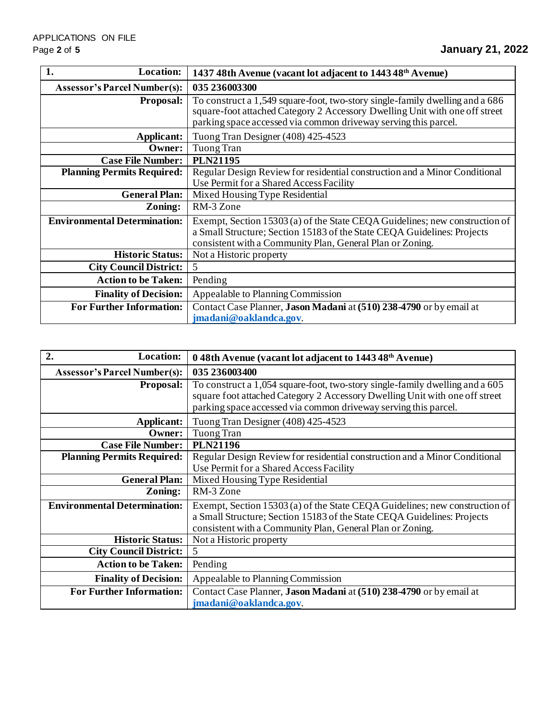| 1.<br><b>Location:</b>              | 1437 48th Avenue (vacant lot adjacent to 1443 48 <sup>th</sup> Avenue)                                                                                                                                                         |
|-------------------------------------|--------------------------------------------------------------------------------------------------------------------------------------------------------------------------------------------------------------------------------|
| <b>Assessor's Parcel Number(s):</b> | 035 236003300                                                                                                                                                                                                                  |
| <b>Proposal:</b>                    | To construct a 1,549 square-foot, two-story single-family dwelling and a 686<br>square-foot attached Category 2 Accessory Dwelling Unit with one off street<br>parking space accessed via common driveway serving this parcel. |
| Applicant:                          | Tuong Tran Designer (408) 425-4523                                                                                                                                                                                             |
| <b>Owner:</b>                       | Tuong Tran                                                                                                                                                                                                                     |
| <b>Case File Number:</b>            | <b>PLN21195</b>                                                                                                                                                                                                                |
| <b>Planning Permits Required:</b>   | Regular Design Review for residential construction and a Minor Conditional<br>Use Permit for a Shared Access Facility                                                                                                          |
| <b>General Plan:</b>                | Mixed Housing Type Residential                                                                                                                                                                                                 |
| Zoning:                             | RM-3 Zone                                                                                                                                                                                                                      |
| <b>Environmental Determination:</b> | Exempt, Section 15303 (a) of the State CEQA Guidelines; new construction of<br>a Small Structure; Section 15183 of the State CEQA Guidelines: Projects<br>consistent with a Community Plan, General Plan or Zoning.            |
| <b>Historic Status:</b>             | Not a Historic property                                                                                                                                                                                                        |
| <b>City Council District:</b>       | 5                                                                                                                                                                                                                              |
| <b>Action to be Taken:</b>          | Pending                                                                                                                                                                                                                        |
| <b>Finality of Decision:</b>        | Appealable to Planning Commission                                                                                                                                                                                              |
| <b>For Further Information:</b>     | Contact Case Planner, Jason Madani at (510) 238-4790 or by email at<br>jmadani@oaklandca.gov.                                                                                                                                  |

| $\overline{2}$ .<br>Location:       | 0 48th Avenue (vacant lot adjacent to 1443 48 <sup>th</sup> Avenue)                                                                                                                                                            |
|-------------------------------------|--------------------------------------------------------------------------------------------------------------------------------------------------------------------------------------------------------------------------------|
| <b>Assessor's Parcel Number(s):</b> | 035 236003400                                                                                                                                                                                                                  |
| <b>Proposal:</b>                    | To construct a 1,054 square-foot, two-story single-family dwelling and a 605<br>square foot attached Category 2 Accessory Dwelling Unit with one off street<br>parking space accessed via common driveway serving this parcel. |
| Applicant:                          | Tuong Tran Designer (408) 425-4523                                                                                                                                                                                             |
| Owner:                              | <b>Tuong Tran</b>                                                                                                                                                                                                              |
| <b>Case File Number:</b>            | <b>PLN21196</b>                                                                                                                                                                                                                |
| <b>Planning Permits Required:</b>   | Regular Design Review for residential construction and a Minor Conditional<br>Use Permit for a Shared Access Facility                                                                                                          |
| <b>General Plan:</b>                | Mixed Housing Type Residential                                                                                                                                                                                                 |
| Zoning:                             | RM-3 Zone                                                                                                                                                                                                                      |
| <b>Environmental Determination:</b> | Exempt, Section 15303 (a) of the State CEQA Guidelines; new construction of<br>a Small Structure; Section 15183 of the State CEQA Guidelines: Projects<br>consistent with a Community Plan, General Plan or Zoning.            |
| <b>Historic Status:</b>             | Not a Historic property                                                                                                                                                                                                        |
| <b>City Council District:</b>       | 5                                                                                                                                                                                                                              |
| <b>Action to be Taken:</b>          | Pending                                                                                                                                                                                                                        |
| <b>Finality of Decision:</b>        | Appealable to Planning Commission                                                                                                                                                                                              |
| <b>For Further Information:</b>     | Contact Case Planner, Jason Madani at (510) 238-4790 or by email at<br>jmadani@oaklandca.gov.                                                                                                                                  |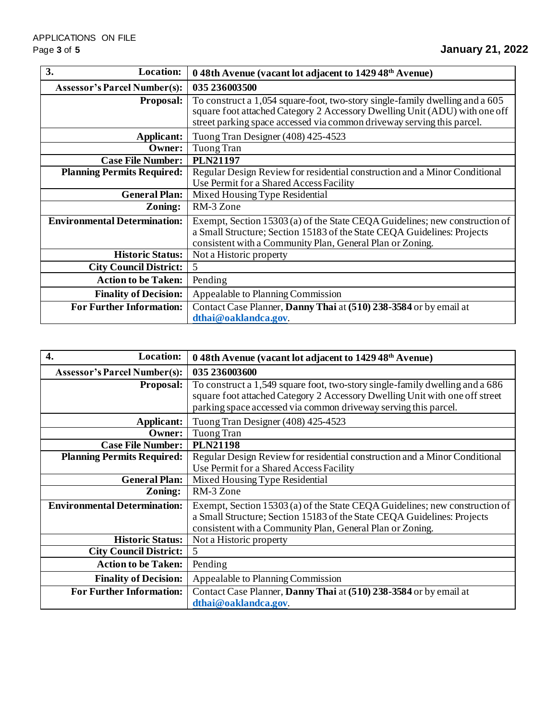| 3.<br>Location:                     | 0 48th Avenue (vacant lot adjacent to 1429 48 <sup>th</sup> Avenue)                                                                                                                                                                  |
|-------------------------------------|--------------------------------------------------------------------------------------------------------------------------------------------------------------------------------------------------------------------------------------|
| <b>Assessor's Parcel Number(s):</b> | 035 236003500                                                                                                                                                                                                                        |
| <b>Proposal:</b>                    | To construct a 1,054 square-foot, two-story single-family dwelling and a 605<br>square foot attached Category 2 Accessory Dwelling Unit (ADU) with one off<br>street parking space accessed via common driveway serving this parcel. |
| Applicant:                          | Tuong Tran Designer (408) 425-4523                                                                                                                                                                                                   |
| Owner:                              | Tuong Tran                                                                                                                                                                                                                           |
| <b>Case File Number:</b>            | <b>PLN21197</b>                                                                                                                                                                                                                      |
| <b>Planning Permits Required:</b>   | Regular Design Review for residential construction and a Minor Conditional<br>Use Permit for a Shared Access Facility                                                                                                                |
| <b>General Plan:</b>                | Mixed Housing Type Residential                                                                                                                                                                                                       |
| Zoning:                             | RM-3 Zone                                                                                                                                                                                                                            |
| <b>Environmental Determination:</b> | Exempt, Section 15303 (a) of the State CEQA Guidelines; new construction of<br>a Small Structure; Section 15183 of the State CEQA Guidelines: Projects<br>consistent with a Community Plan, General Plan or Zoning.                  |
| <b>Historic Status:</b>             | Not a Historic property                                                                                                                                                                                                              |
| <b>City Council District:</b>       | 5                                                                                                                                                                                                                                    |
| <b>Action to be Taken:</b>          | Pending                                                                                                                                                                                                                              |
| <b>Finality of Decision:</b>        | Appealable to Planning Commission                                                                                                                                                                                                    |
| <b>For Further Information:</b>     | Contact Case Planner, Danny Thai at (510) 238-3584 or by email at<br>dthai@oaklandca.gov.                                                                                                                                            |

| 4.<br>Location:                     | 0 48th Avenue (vacant lot adjacent to 1429 48 <sup>th</sup> Avenue)                                                                                                                                                            |
|-------------------------------------|--------------------------------------------------------------------------------------------------------------------------------------------------------------------------------------------------------------------------------|
| <b>Assessor's Parcel Number(s):</b> | 035 236003600                                                                                                                                                                                                                  |
| <b>Proposal:</b>                    | To construct a 1,549 square foot, two-story single-family dwelling and a 686<br>square foot attached Category 2 Accessory Dwelling Unit with one off street<br>parking space accessed via common driveway serving this parcel. |
| Applicant:                          | Tuong Tran Designer (408) 425-4523                                                                                                                                                                                             |
| Owner:                              | Tuong Tran                                                                                                                                                                                                                     |
| <b>Case File Number:</b>            | <b>PLN21198</b>                                                                                                                                                                                                                |
| <b>Planning Permits Required:</b>   | Regular Design Review for residential construction and a Minor Conditional<br>Use Permit for a Shared Access Facility                                                                                                          |
| <b>General Plan:</b>                | Mixed Housing Type Residential                                                                                                                                                                                                 |
| Zoning:                             | RM-3 Zone                                                                                                                                                                                                                      |
| <b>Environmental Determination:</b> | Exempt, Section 15303 (a) of the State CEQA Guidelines; new construction of<br>a Small Structure; Section 15183 of the State CEQA Guidelines: Projects<br>consistent with a Community Plan, General Plan or Zoning.            |
| <b>Historic Status:</b>             | Not a Historic property                                                                                                                                                                                                        |
| <b>City Council District:</b>       | 5                                                                                                                                                                                                                              |
| <b>Action to be Taken:</b>          | Pending                                                                                                                                                                                                                        |
| <b>Finality of Decision:</b>        | Appealable to Planning Commission                                                                                                                                                                                              |
| <b>For Further Information:</b>     | Contact Case Planner, Danny Thai at (510) 238-3584 or by email at<br>dthai@oaklandca.gov.                                                                                                                                      |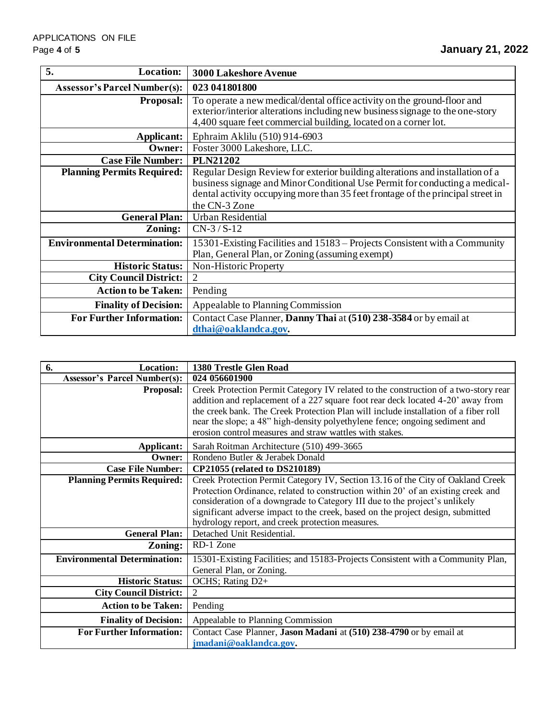| 5.<br><b>Location:</b>              | <b>3000 Lakeshore Avenue</b>                                                                                                                                                                                                                                     |
|-------------------------------------|------------------------------------------------------------------------------------------------------------------------------------------------------------------------------------------------------------------------------------------------------------------|
| <b>Assessor's Parcel Number(s):</b> | 023 041801800                                                                                                                                                                                                                                                    |
| <b>Proposal:</b>                    | To operate a new medical/dental office activity on the ground-floor and<br>exterior/interior alterations including new business signage to the one-story<br>4,400 square feet commercial building, located on a corner lot.                                      |
| <b>Applicant:</b>                   | Ephraim Aklilu (510) 914-6903                                                                                                                                                                                                                                    |
| Owner:                              | Foster 3000 Lakeshore, LLC.                                                                                                                                                                                                                                      |
| <b>Case File Number:</b>            | <b>PLN21202</b>                                                                                                                                                                                                                                                  |
| <b>Planning Permits Required:</b>   | Regular Design Review for exterior building alterations and installation of a<br>business signage and Minor Conditional Use Permit for conducting a medical-<br>dental activity occupying more than 35 feet frontage of the principal street in<br>the CN-3 Zone |
| <b>General Plan:</b>                | Urban Residential                                                                                                                                                                                                                                                |
| Zoning:                             | $CN-3 / S-12$                                                                                                                                                                                                                                                    |
| <b>Environmental Determination:</b> | 15301-Existing Facilities and 15183 – Projects Consistent with a Community<br>Plan, General Plan, or Zoning (assuming exempt)                                                                                                                                    |
| <b>Historic Status:</b>             | Non-Historic Property                                                                                                                                                                                                                                            |
| <b>City Council District:</b>       | 2                                                                                                                                                                                                                                                                |
| <b>Action to be Taken:</b>          | Pending                                                                                                                                                                                                                                                          |
| <b>Finality of Decision:</b>        | Appealable to Planning Commission                                                                                                                                                                                                                                |
| <b>For Further Information:</b>     | Contact Case Planner, Danny Thai at (510) 238-3584 or by email at<br>dthai@oaklandca.gov.                                                                                                                                                                        |

| 6.<br><b>Location:</b>              | 1380 Trestle Glen Road                                                                                                                                                                                                                                                                                                                                                                                  |
|-------------------------------------|---------------------------------------------------------------------------------------------------------------------------------------------------------------------------------------------------------------------------------------------------------------------------------------------------------------------------------------------------------------------------------------------------------|
| <b>Assessor's Parcel Number(s):</b> | 024 056601900                                                                                                                                                                                                                                                                                                                                                                                           |
| <b>Proposal:</b>                    | Creek Protection Permit Category IV related to the construction of a two-story rear<br>addition and replacement of a 227 square foot rear deck located 4-20' away from<br>the creek bank. The Creek Protection Plan will include installation of a fiber roll<br>near the slope; a 48" high-density polyethylene fence; ongoing sediment and<br>erosion control measures and straw wattles with stakes. |
| Applicant:                          | Sarah Roitman Architecture (510) 499-3665                                                                                                                                                                                                                                                                                                                                                               |
| <b>Owner:</b>                       | Rondeno Butler & Jerabek Donald                                                                                                                                                                                                                                                                                                                                                                         |
| <b>Case File Number:</b>            | CP21055 (related to DS210189)                                                                                                                                                                                                                                                                                                                                                                           |
| <b>Planning Permits Required:</b>   | Creek Protection Permit Category IV, Section 13.16 of the City of Oakland Creek<br>Protection Ordinance, related to construction within 20' of an existing creek and<br>consideration of a downgrade to Category III due to the project's unlikely<br>significant adverse impact to the creek, based on the project design, submitted<br>hydrology report, and creek protection measures.               |
| <b>General Plan:</b>                | Detached Unit Residential.                                                                                                                                                                                                                                                                                                                                                                              |
| Zoning:                             | RD-1 Zone                                                                                                                                                                                                                                                                                                                                                                                               |
| <b>Environmental Determination:</b> | 15301-Existing Facilities; and 15183-Projects Consistent with a Community Plan,<br>General Plan, or Zoning.                                                                                                                                                                                                                                                                                             |
| <b>Historic Status:</b>             | OCHS; Rating D2+                                                                                                                                                                                                                                                                                                                                                                                        |
| <b>City Council District:</b>       | 2                                                                                                                                                                                                                                                                                                                                                                                                       |
| <b>Action to be Taken:</b>          | Pending                                                                                                                                                                                                                                                                                                                                                                                                 |
| <b>Finality of Decision:</b>        | Appealable to Planning Commission                                                                                                                                                                                                                                                                                                                                                                       |
| <b>For Further Information:</b>     | Contact Case Planner, Jason Madani at (510) 238-4790 or by email at<br>jmadani@oaklandca.gov.                                                                                                                                                                                                                                                                                                           |